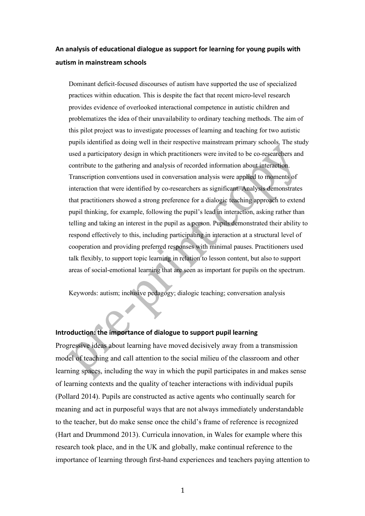# **An analysis of educational dialogue as support for learning for young pupils with autism in mainstream schools**

Dominant deficit-focused discourses of autism have supported the use of specialized practices within education. This is despite the fact that recent micro-level research provides evidence of overlooked interactional competence in autistic children and problematizes the idea of their unavailability to ordinary teaching methods. The aim of this pilot project was to investigate processes of learning and teaching for two autistic pupils identified as doing well in their respective mainstream primary schools. The study used a participatory design in which practitioners were invited to be co-researchers and contribute to the gathering and analysis of recorded information about interaction. Transcription conventions used in conversation analysis were applied to moments of interaction that were identified by co-researchers as significant. Analysis demonstrates that practitioners showed a strong preference for a dialogic teaching approach to extend pupil thinking, for example, following the pupil's lead in interaction, asking rather than telling and taking an interest in the pupil as a person. Pupils demonstrated their ability to respond effectively to this, including participating in interaction at a structural level of cooperation and providing preferred responses with minimal pauses. Practitioners used talk flexibly, to support topic learning in relation to lesson content, but also to support areas of social-emotional learning that are seen as important for pupils on the spectrum.

Keywords: autism; inclusive pedagogy; dialogic teaching; conversation analysis

# **Introduction: the importance of dialogue to support pupil learning**

Progressive ideas about learning have moved decisively away from a transmission model of teaching and call attention to the social milieu of the classroom and other learning spaces, including the way in which the pupil participates in and makes sense of learning contexts and the quality of teacher interactions with individual pupils (Pollard 2014). Pupils are constructed as active agents who continually search for meaning and act in purposeful ways that are not always immediately understandable to the teacher, but do make sense once the child's frame of reference is recognized (Hart and Drummond 2013). Curricula innovation, in Wales for example where this research took place, and in the UK and globally, make continual reference to the importance of learning through first-hand experiences and teachers paying attention to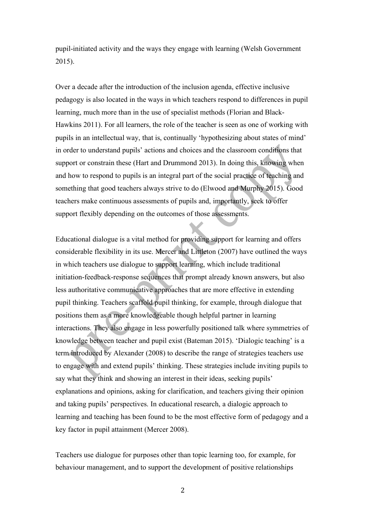pupil-initiated activity and the ways they engage with learning (Welsh Government 2015).

Over a decade after the introduction of the inclusion agenda, effective inclusive pedagogy is also located in the ways in which teachers respond to differences in pupil learning, much more than in the use of specialist methods (Florian and Black-Hawkins 2011). For all learners, the role of the teacher is seen as one of working with pupils in an intellectual way, that is, continually 'hypothesizing about states of mind' in order to understand pupils' actions and choices and the classroom conditions that support or constrain these (Hart and Drummond 2013). In doing this, knowing when and how to respond to pupils is an integral part of the social practice of teaching and something that good teachers always strive to do (Elwood and Murphy 2015). Good teachers make continuous assessments of pupils and, importantly, seek to offer support flexibly depending on the outcomes of those assessments.

Educational dialogue is a vital method for providing support for learning and offers considerable flexibility in its use. Mercer and Littleton (2007) have outlined the ways in which teachers use dialogue to support learning, which include traditional initiation-feedback-response sequences that prompt already known answers, but also less authoritative communicative approaches that are more effective in extending pupil thinking. Teachers scaffold pupil thinking, for example, through dialogue that positions them as a more knowledgeable though helpful partner in learning interactions. They also engage in less powerfully positioned talk where symmetries of knowledge between teacher and pupil exist (Bateman 2015). 'Dialogic teaching' is a term introduced by Alexander (2008) to describe the range of strategies teachers use to engage with and extend pupils' thinking. These strategies include inviting pupils to say what they think and showing an interest in their ideas, seeking pupils' explanations and opinions, asking for clarification, and teachers giving their opinion and taking pupils' perspectives. In educational research, a dialogic approach to learning and teaching has been found to be the most effective form of pedagogy and a key factor in pupil attainment (Mercer 2008).

Teachers use dialogue for purposes other than topic learning too, for example, for behaviour management, and to support the development of positive relationships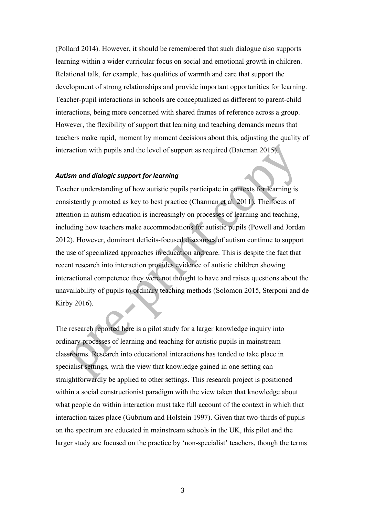(Pollard 2014). However, it should be remembered that such dialogue also supports learning within a wider curricular focus on social and emotional growth in children. Relational talk, for example, has qualities of warmth and care that support the development of strong relationships and provide important opportunities for learning. Teacher-pupil interactions in schools are conceptualized as different to parent-child interactions, being more concerned with shared frames of reference across a group. However, the flexibility of support that learning and teaching demands means that teachers make rapid, moment by moment decisions about this, adjusting the quality of interaction with pupils and the level of support as required (Bateman 2015).

# *Autism and dialogic support for learning*

Teacher understanding of how autistic pupils participate in contexts for learning is consistently promoted as key to best practice (Charman et al. 2011). The focus of attention in autism education is increasingly on processes of learning and teaching, including how teachers make accommodations for autistic pupils (Powell and Jordan 2012). However, dominant deficits-focused discourses of autism continue to support the use of specialized approaches in education and care. This is despite the fact that recent research into interaction provides evidence of autistic children showing interactional competence they were not thought to have and raises questions about the unavailability of pupils to ordinary teaching methods (Solomon 2015, Sterponi and de Kirby 2016).

The research reported here is a pilot study for a larger knowledge inquiry into ordinary processes of learning and teaching for autistic pupils in mainstream classrooms. Research into educational interactions has tended to take place in specialist settings, with the view that knowledge gained in one setting can straightforwardly be applied to other settings. This research project is positioned within a social constructionist paradigm with the view taken that knowledge about what people do within interaction must take full account of the context in which that interaction takes place (Gubrium and Holstein 1997). Given that two-thirds of pupils on the spectrum are educated in mainstream schools in the UK, this pilot and the larger study are focused on the practice by 'non-specialist' teachers, though the terms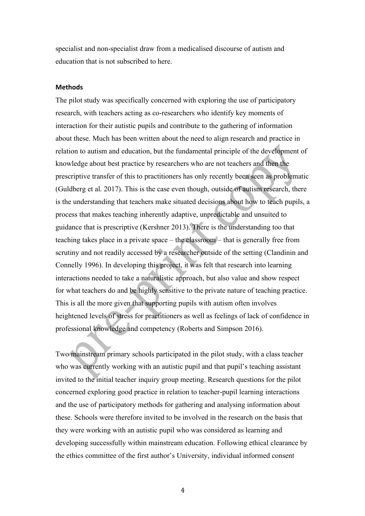specialist and non-specialist draw from a medicalised discourse of autism and education that is not subscribed to here.

### **Methods**

The pilot study was specifically concerned with exploring the use of participatory research, with teachers acting as co-researchers who identify key moments of interaction for their autistic pupils and contribute to the gathering of information about these. Much has been written about the need to align research and practice in relation to autism and education, but the fundamental principle of the development of knowledge about best practice by researchers who are not teachers and then the prescriptive transfer of this to practitioners has only recently been seen as problematic (Guldberg et al. 2017). This is the case even though, outside of autism research, there is the understanding that teachers make situated decisions about how to teach pupils, a process that makes teaching inherently adaptive, unpredictable and unsuited to guidance that is prescriptive (Kershner 2013). There is the understanding too that teaching takes place in a private space – the classroom – that is generally free from scrutiny and not readily accessed by a researcher outside of the setting (Clandinin and Connelly 1996). In developing this project, it was felt that research into learning interactions needed to take a naturalistic approach, but also value and show respect for what teachers do and be highly sensitive to the private nature of teaching practice. This is all the more given that supporting pupils with autism often involves heightened levels of stress for practitioners as well as feelings of lack of confidence in professional knowledge and competency (Roberts and Simpson 2016).

Two mainstream primary schools participated in the pilot study, with a class teacher who was currently working with an autistic pupil and that pupil's teaching assistant invited to the initial teacher inquiry group meeting. Research questions for the pilot concerned exploring good practice in relation to teacher-pupil learning interactions and the use of participatory methods for gathering and analysing information about these. Schools were therefore invited to be involved in the research on the basis that they were working with an autistic pupil who was considered as learning and developing successfully within mainstream education. Following ethical clearance by the ethics committee of the first author's University, individual informed consent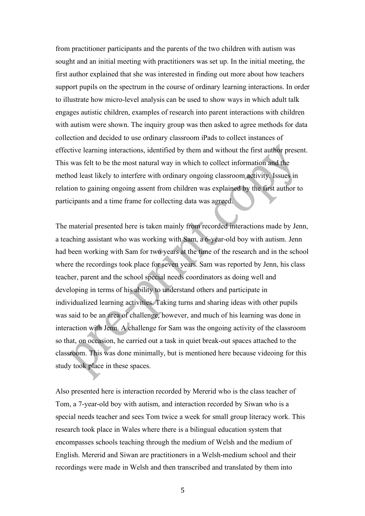from practitioner participants and the parents of the two children with autism was sought and an initial meeting with practitioners was set up. In the initial meeting, the first author explained that she was interested in finding out more about how teachers support pupils on the spectrum in the course of ordinary learning interactions. In order to illustrate how micro-level analysis can be used to show ways in which adult talk engages autistic children, examples of research into parent interactions with children with autism were shown. The inquiry group was then asked to agree methods for data collection and decided to use ordinary classroom iPads to collect instances of effective learning interactions, identified by them and without the first author present. This was felt to be the most natural way in which to collect information and the method least likely to interfere with ordinary ongoing classroom activity. Issues in relation to gaining ongoing assent from children was explained by the first author to participants and a time frame for collecting data was agreed.

The material presented here is taken mainly from recorded interactions made by Jenn, a teaching assistant who was working with Sam, a 6-year-old boy with autism. Jenn had been working with Sam for two years at the time of the research and in the school where the recordings took place for seven years. Sam was reported by Jenn, his class teacher, parent and the school special needs coordinators as doing well and developing in terms of his ability to understand others and participate in individualized learning activities. Taking turns and sharing ideas with other pupils was said to be an area of challenge, however, and much of his learning was done in interaction with Jenn. A challenge for Sam was the ongoing activity of the classroom so that, on occasion, he carried out a task in quiet break-out spaces attached to the classroom. This was done minimally, but is mentioned here because videoing for this study took place in these spaces.

Also presented here is interaction recorded by Mererid who is the class teacher of Tom, a 7-year-old boy with autism, and interaction recorded by Siwan who is a special needs teacher and sees Tom twice a week for small group literacy work. This research took place in Wales where there is a bilingual education system that encompasses schools teaching through the medium of Welsh and the medium of English. Mererid and Siwan are practitioners in a Welsh-medium school and their recordings were made in Welsh and then transcribed and translated by them into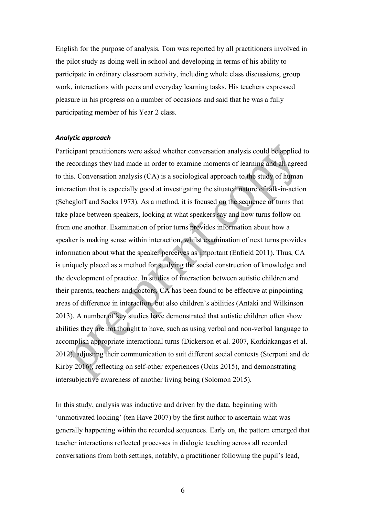English for the purpose of analysis. Tom was reported by all practitioners involved in the pilot study as doing well in school and developing in terms of his ability to participate in ordinary classroom activity, including whole class discussions, group work, interactions with peers and everyday learning tasks. His teachers expressed pleasure in his progress on a number of occasions and said that he was a fully participating member of his Year 2 class.

### *Analytic approach*

Participant practitioners were asked whether conversation analysis could be applied to the recordings they had made in order to examine moments of learning and all agreed to this. Conversation analysis (CA) is a sociological approach to the study of human interaction that is especially good at investigating the situated nature of talk-in-action (Schegloff and Sacks 1973). As a method, it is focused on the sequence of turns that take place between speakers, looking at what speakers say and how turns follow on from one another. Examination of prior turns provides information about how a speaker is making sense within interaction, whilst examination of next turns provides information about what the speaker perceives as important (Enfield 2011). Thus, CA is uniquely placed as a method for studying the social construction of knowledge and the development of practice. In studies of interaction between autistic children and their parents, teachers and doctors, CA has been found to be effective at pinpointing areas of difference in interaction, but also children's abilities (Antaki and Wilkinson 2013). A number of key studies have demonstrated that autistic children often show abilities they are not thought to have, such as using verbal and non-verbal language to accomplish appropriate interactional turns (Dickerson et al. 2007, Korkiakangas et al. 2012), adjusting their communication to suit different social contexts (Sterponi and de Kirby 2016), reflecting on self-other experiences (Ochs 2015), and demonstrating intersubjective awareness of another living being (Solomon 2015).

In this study, analysis was inductive and driven by the data, beginning with 'unmotivated looking' (ten Have 2007) by the first author to ascertain what was generally happening within the recorded sequences. Early on, the pattern emerged that teacher interactions reflected processes in dialogic teaching across all recorded conversations from both settings, notably, a practitioner following the pupil's lead,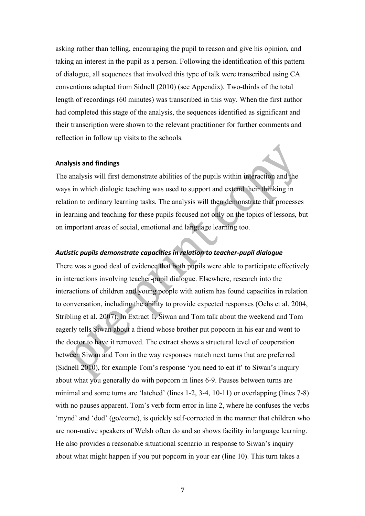asking rather than telling, encouraging the pupil to reason and give his opinion, and taking an interest in the pupil as a person. Following the identification of this pattern of dialogue, all sequences that involved this type of talk were transcribed using CA conventions adapted from Sidnell (2010) (see Appendix). Two-thirds of the total length of recordings (60 minutes) was transcribed in this way. When the first author had completed this stage of the analysis, the sequences identified as significant and their transcription were shown to the relevant practitioner for further comments and reflection in follow up visits to the schools.

#### **Analysis and findings**

The analysis will first demonstrate abilities of the pupils within interaction and the ways in which dialogic teaching was used to support and extend their thinking in relation to ordinary learning tasks. The analysis will then demonstrate that processes in learning and teaching for these pupils focused not only on the topics of lessons, but on important areas of social, emotional and language learning too.

# *Autistic pupils demonstrate capacities in relation to teacher-pupil dialogue*

There was a good deal of evidence that both pupils were able to participate effectively in interactions involving teacher-pupil dialogue. Elsewhere, research into the interactions of children and young people with autism has found capacities in relation to conversation, including the ability to provide expected responses (Ochs et al. 2004, Stribling et al. 2007). In Extract 1, Siwan and Tom talk about the weekend and Tom eagerly tells Siwan about a friend whose brother put popcorn in his ear and went to the doctor to have it removed. The extract shows a structural level of cooperation between Siwan and Tom in the way responses match next turns that are preferred (Sidnell 2010), for example Tom's response 'you need to eat it' to Siwan's inquiry about what you generally do with popcorn in lines 6-9. Pauses between turns are minimal and some turns are 'latched' (lines 1-2, 3-4, 10-11) or overlapping (lines 7-8) with no pauses apparent. Tom's verb form error in line 2, where he confuses the verbs 'mynd' and 'dod' (go/come), is quickly self-corrected in the manner that children who are non-native speakers of Welsh often do and so shows facility in language learning. He also provides a reasonable situational scenario in response to Siwan's inquiry about what might happen if you put popcorn in your ear (line 10). This turn takes a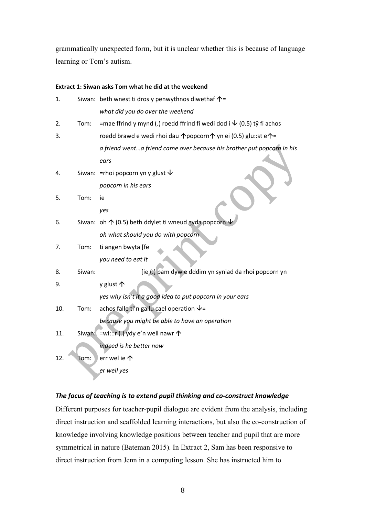grammatically unexpected form, but it is unclear whether this is because of language learning or Tom's autism.

# **Extract 1: Siwan asks Tom what he did at the weekend**

| 1.  |        | Siwan: beth wnest ti dros y penwythnos diwethaf $\uparrow$ =                 |
|-----|--------|------------------------------------------------------------------------------|
|     |        | what did you do over the weekend                                             |
| 2.  | Tom:   | =mae ffrind y mynd (.) roedd ffrind fi wedi dod i $\sqrt{(0.5)}$ tŷ fi achos |
| 3.  |        | roedd brawd e wedi rhoi dau ↑popcorn↑ yn ei (0.5) glu::st e↑=                |
|     |        | a friend wenta friend came over because his brother put popcorn in his       |
|     |        | ears                                                                         |
| 4.  |        | Siwan: = rhoi popcorn yn y glust $\psi$                                      |
|     |        | popcorn in his ears                                                          |
| 5.  | Tom:   | ie                                                                           |
|     |        | yes                                                                          |
| 6.  |        | Siwan: oh $\uparrow$ (0.5) beth ddylet ti wneud gyda popcorn                 |
|     |        | oh what should you do with popcorn                                           |
| 7.  | Tom:   | ti angen bwyta [fe                                                           |
|     |        | you need to eat it                                                           |
| 8.  | Siwan: | [ie (.) pam dyw e dddim yn syniad da rhoi popcorn yn                         |
| 9.  |        | y glust 个                                                                    |
|     |        | yes why isn't it a good idea to put popcorn in your ears                     |
| 10. | Tom:   | achos falle ti'n gallu cael operation $\sqrt{ }$ =                           |
|     |        | because you might be able to have an operation                               |
| 11. |        | Siwan: = wi:::r (.) ydy e'n well nawr $\uparrow$                             |
|     |        | indeed is he better now                                                      |
| 12. | Tom:   | err wel ie 个                                                                 |
|     |        | er well yes                                                                  |
|     |        |                                                                              |

# *The focus of teaching is to extend pupil thinking and co-construct knowledge*

Different purposes for teacher-pupil dialogue are evident from the analysis, including direct instruction and scaffolded learning interactions, but also the co-construction of knowledge involving knowledge positions between teacher and pupil that are more symmetrical in nature (Bateman 2015). In Extract 2, Sam has been responsive to direct instruction from Jenn in a computing lesson. She has instructed him to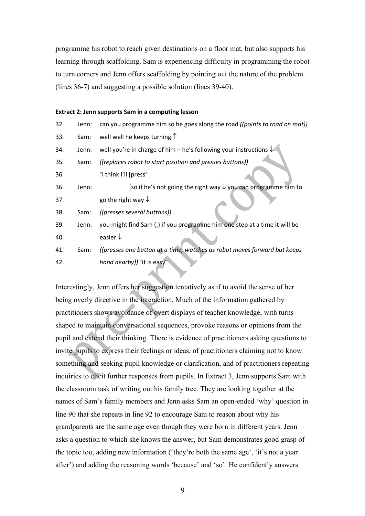programme his robot to reach given destinations on a floor mat, but also supports his learning through scaffolding. Sam is experiencing difficulty in programming the robot to turn corners and Jenn offers scaffolding by pointing out the nature of the problem (lines 36-7) and suggesting a possible solution (lines 39-40).

#### **Extract 2: Jenn supports Sam in a computing lesson**

| 32. | Jenn: | can you programme him so he goes along the road ((points to road on mat))  |
|-----|-------|----------------------------------------------------------------------------|
| 33. | Sam:  | well well he keeps turning $\uparrow$                                      |
| 34. | Jenn: | well you're in charge of him – he's following your instructions $\sqrt{ }$ |
| 35. | Sam:  | ((replaces robot to start position and presses buttons))                   |
| 36. |       | °I think I'll [press°                                                      |
| 36. | Jenn: | [so if he's not going the right way $\sqrt{ }$ you can programme him to    |
| 37. |       | go the right way $\downarrow$                                              |
| 38. | Sam:  | ((presses several buttons))                                                |
| 39. | Jenn: | you might find Sam (.) if you programme him one step at a time it will be  |
| 40. |       | easier $\downarrow$                                                        |
| 41. | Sam:  | ((presses one button at a time, watches as robot moves forward but keeps   |
| 42. |       | hand nearby)) ° it is easy°                                                |
|     |       |                                                                            |

Interestingly, Jenn offers her suggestion tentatively as if to avoid the sense of her being overly directive in the interaction. Much of the information gathered by practitioners shows avoidance of overt displays of teacher knowledge, with turns shaped to maintain conversational sequences, provoke reasons or opinions from the pupil and extend their thinking. There is evidence of practitioners asking questions to invite pupils to express their feelings or ideas, of practitioners claiming not to know something and seeking pupil knowledge or clarification, and of practitioners repeating inquiries to elicit further responses from pupils. In Extract 3, Jenn supports Sam with the classroom task of writing out his family tree. They are looking together at the names of Sam's family members and Jenn asks Sam an open-ended 'why' question in line 90 that she repeats in line 92 to encourage Sam to reason about why his grandparents are the same age even though they were born in different years. Jenn asks a question to which she knows the answer, but Sam demonstrates good grasp of the topic too, adding new information ('they're both the same age', 'it's not a year after') and adding the reasoning words 'because' and 'so'. He confidently answers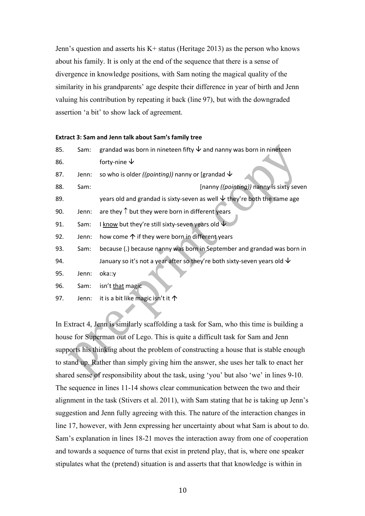Jenn's question and asserts his K+ status (Heritage 2013) as the person who knows about his family. It is only at the end of the sequence that there is a sense of divergence in knowledge positions, with Sam noting the magical quality of the similarity in his grandparents' age despite their difference in year of birth and Jenn valuing his contribution by repeating it back (line 97), but with the downgraded assertion 'a bit' to show lack of agreement.

#### **Extract 3: Sam and Jenn talk about Sam's family tree**

| 85. | Sam:  | grandad was born in nineteen fifty $\vee$ and nanny was born in nineteen                       |
|-----|-------|------------------------------------------------------------------------------------------------|
| 86. |       | forty-nine $\downarrow$                                                                        |
| 87. | Jenn: | so who is older ((pointing)) nanny or [grandad $\vee$                                          |
| 88. | Sam:  | [nanny ((pointing)) nanny is sixty seven                                                       |
| 89. |       | years old and grandad is sixty-seven as well $\overline{\mathsf{V}}$ they're both the same age |
| 90. | Jenn: | are they $\uparrow$ but they were born in different years                                      |
| 91. | Sam:  | I know but they're still sixty-seven years old $\overline{\Psi}$                               |
| 92. | Jenn: | how come $\uparrow$ if they were born in different years                                       |
| 93. | Sam:  | because (.) because nanny was born in September and grandad was born in                        |
| 94. |       | January so it's not a year after so they're both sixty-seven years old $\vee$                  |
| 95. | Jenn: | oka::y                                                                                         |
| 96. | Sam:  | isn't that magic                                                                               |
| 97. | Jenn: | it is a bit like magic isn't it $\uparrow$                                                     |

In Extract 4, Jenn is similarly scaffolding a task for Sam, who this time is building a house for Superman out of Lego. This is quite a difficult task for Sam and Jenn supports his thinking about the problem of constructing a house that is stable enough to stand up. Rather than simply giving him the answer, she uses her talk to enact her shared sense of responsibility about the task, using 'you' but also 'we' in lines 9-10. The sequence in lines 11-14 shows clear communication between the two and their alignment in the task (Stivers et al. 2011), with Sam stating that he is taking up Jenn's suggestion and Jenn fully agreeing with this. The nature of the interaction changes in line 17, however, with Jenn expressing her uncertainty about what Sam is about to do. Sam's explanation in lines 18-21 moves the interaction away from one of cooperation and towards a sequence of turns that exist in pretend play, that is, where one speaker stipulates what the (pretend) situation is and asserts that that knowledge is within in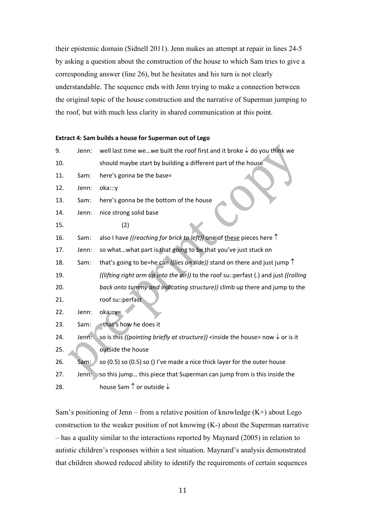their epistemic domain (Sidnell 2011). Jenn makes an attempt at repair in lines 24-5 by asking a question about the construction of the house to which Sam tries to give a corresponding answer (line 26), but he hesitates and his turn is not clearly understandable. The sequence ends with Jenn trying to make a connection between the original topic of the house construction and the narrative of Superman jumping to the roof, but with much less clarity in shared communication at this point.

 $\mathcal{A}$ 

#### **Extract 4: Sam builds a house for Superman out of Lego**

| 9.  | Jenn: | well last time wewe built the roof first and it broke $\downarrow$ do you think we                                  |
|-----|-------|---------------------------------------------------------------------------------------------------------------------|
| 10. |       | should maybe start by building a different part of the house                                                        |
| 11. | Sam:  | here's gonna be the base=                                                                                           |
| 12. | Jenn: | oka:::y                                                                                                             |
| 13. | Sam:  | here's gonna be the bottom of the house                                                                             |
| 14. | Jenn: | nice strong solid base                                                                                              |
| 15. |       | (2)                                                                                                                 |
| 16. | Sam:  | also I have ((reaching for brick to left)) one of these pieces here $\uparrow$                                      |
| 17. | Jenn: | so whatwhat part is that going to be that you've just stuck on                                                      |
| 18. | Sam:  | that's going to be=he can ((lies on side)) stand on there and just jump $\uparrow$                                  |
| 19. |       | ((lifting right arm up into the air)) to the roof su:: perfast (.) and just ((rolling                               |
| 20. |       | back onto tummy and indicating structure)) climb up there and jump to the                                           |
| 21. |       | roof su::perfast                                                                                                    |
| 22. | Jenn: | oka:::y=                                                                                                            |
| 23. | Sam:  | =that's how he does it                                                                                              |
| 24. | Jenn: | so is this ((pointing briefly at structure)) <inside house="" the=""> now <math>\downarrow</math> or is it</inside> |
| 25. |       | outside the house                                                                                                   |
| 26. | Sam:  | so (0.5) so (0.5) so () I've made a nice thick layer for the outer house                                            |
| 27. | Jenn: | so this jump this piece that Superman can jump from is this inside the                                              |
| 28. |       | house Sam $\uparrow$ or outside $\downarrow$                                                                        |

Sam's positioning of Jenn – from a relative position of knowledge  $(K+)$  about Lego construction to the weaker position of not knowing (K-) about the Superman narrative – has a quality similar to the interactions reported by Maynard (2005) in relation to autistic children's responses within a test situation. Maynard's analysis demonstrated that children showed reduced ability to identify the requirements of certain sequences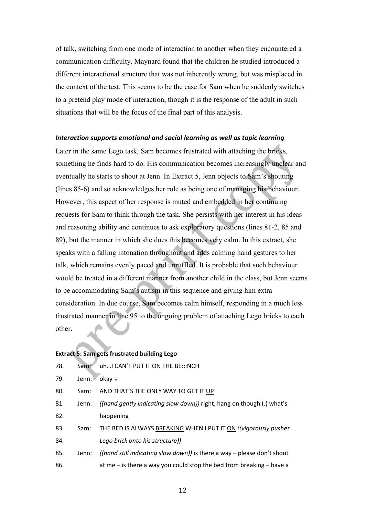of talk, switching from one mode of interaction to another when they encountered a communication difficulty. Maynard found that the children he studied introduced a different interactional structure that was not inherently wrong, but was misplaced in the context of the test. This seems to be the case for Sam when he suddenly switches to a pretend play mode of interaction, though it is the response of the adult in such situations that will be the focus of the final part of this analysis.

#### *Interaction supports emotional and social learning as well as topic learning*

Later in the same Lego task, Sam becomes frustrated with attaching the bricks, something he finds hard to do. His communication becomes increasingly unclear and eventually he starts to shout at Jenn. In Extract 5, Jenn objects to Sam's shouting (lines 85-6) and so acknowledges her role as being one of managing his behaviour. However, this aspect of her response is muted and embedded in her continuing requests for Sam to think through the task. She persists with her interest in his ideas and reasoning ability and continues to ask exploratory questions (lines 81-2, 85 and 89), but the manner in which she does this becomes very calm. In this extract, she speaks with a falling intonation throughout and adds calming hand gestures to her talk, which remains evenly paced and unruffled. It is probable that such behaviour would be treated in a different manner from another child in the class, but Jenn seems to be accommodating Sam's autism in this sequence and giving him extra consideration. In due course, Sam becomes calm himself, responding in a much less frustrated manner in line 95 to the ongoing problem of attaching Lego bricks to each other.

## **Extract 5: Sam gets frustrated building Lego**

| 78. | Sam:  | uh I CAN'T PUT IT ON THE BE::: NCH                                       |
|-----|-------|--------------------------------------------------------------------------|
| 79. | Jenn: | $\overline{\ }$ okay $\downarrow$                                        |
| 80. | Sam:  | AND THAT'S THE ONLY WAY TO GET IT UP                                     |
| 81. | Jenn: | ((hand gently indicating slow down)) right, hang on though (.) what's    |
| 82. |       | happening                                                                |
| 83. | Sam:  | THE BED IS ALWAYS BREAKING WHEN I PUT IT ON ((vigorously pushes          |
| 84. |       | Lego brick onto his structure))                                          |
| 85. | Jenn: | ((hand still indicating slow down)) is there a way – please don't shout  |
| 86. |       | at me $-$ is there a way you could stop the bed from breaking $-$ have a |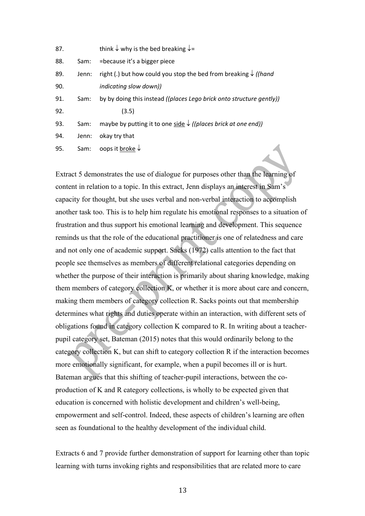| 87. |       | think $\downarrow$ why is the bed breaking $\downarrow$ =                                 |
|-----|-------|-------------------------------------------------------------------------------------------|
| 88. | Sam:  | =because it's a bigger piece                                                              |
| 89. | Jenn: | right (.) but how could you stop the bed from breaking $\sqrt{($ hand                     |
| 90. |       | indicating slow down))                                                                    |
| 91. | Sam:  | by by doing this instead ((places Lego brick onto structure gently))                      |
| 92. |       | (3.5)                                                                                     |
| 93. | Sam:  | maybe by putting it to one side $\sqrt{(p \cdot p)}$ ( <i>(places brick at one end)</i> ) |
| 94. | Jenn: | okay try that                                                                             |
| 95. | Sam:  | oops it <u>broke</u> $\downarrow$                                                         |
|     |       |                                                                                           |

Extract 5 demonstrates the use of dialogue for purposes other than the learning of content in relation to a topic. In this extract, Jenn displays an interest in Sam's capacity for thought, but she uses verbal and non-verbal interaction to accomplish another task too. This is to help him regulate his emotional responses to a situation of frustration and thus support his emotional learning and development. This sequence reminds us that the role of the educational practitioner is one of relatedness and care and not only one of academic support. Sacks (1972) calls attention to the fact that people see themselves as members of different relational categories depending on whether the purpose of their interaction is primarily about sharing knowledge, making them members of category collection K, or whether it is more about care and concern, making them members of category collection R. Sacks points out that membership determines what rights and duties operate within an interaction, with different sets of obligations found in category collection K compared to R. In writing about a teacherpupil category set, Bateman (2015) notes that this would ordinarily belong to the category collection K, but can shift to category collection R if the interaction becomes more emotionally significant, for example, when a pupil becomes ill or is hurt. Bateman argues that this shifting of teacher-pupil interactions, between the coproduction of K and R category collections, is wholly to be expected given that education is concerned with holistic development and children's well-being, empowerment and self-control. Indeed, these aspects of children's learning are often seen as foundational to the healthy development of the individual child.

Extracts 6 and 7 provide further demonstration of support for learning other than topic learning with turns invoking rights and responsibilities that are related more to care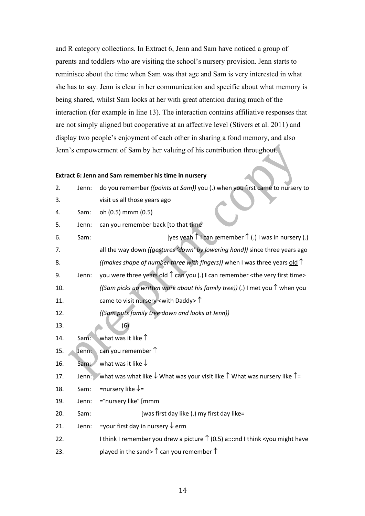and R category collections. In Extract 6, Jenn and Sam have noticed a group of parents and toddlers who are visiting the school's nursery provision. Jenn starts to reminisce about the time when Sam was that age and Sam is very interested in what she has to say. Jenn is clear in her communication and specific about what memory is being shared, whilst Sam looks at her with great attention during much of the interaction (for example in line 13). The interaction contains affiliative responses that are not simply aligned but cooperative at an affective level (Stivers et al. 2011) and display two people's enjoyment of each other in sharing a fond memory, and also Jenn's empowerment of Sam by her valuing of his contribution throughout.

# **Extract 6: Jenn and Sam remember his time in nursery**

| 2.  | Jenn: | do you remember ((points at Sam)) you (.) when you first came to nursery to                                |
|-----|-------|------------------------------------------------------------------------------------------------------------|
| 3.  |       | visit us all those years ago                                                                               |
| 4.  | Sam:  | oh (0.5) mmm (0.5)                                                                                         |
| 5.  | Jenn: | can you remember back [to that time                                                                        |
| 6.  | Sam:  | [yes yeah $\uparrow$ I can remember $\uparrow$ (.) I was in nursery (.)                                    |
| 7.  |       | all the way down ((gestures 'down' by lowering hand)) since three years ago                                |
| 8.  |       | ((makes shape of number three with fingers)) when I was three years old $\uparrow$                         |
| 9.  | Jenn: | you were three years old $\uparrow$ can you (.) I can remember < the very first time>                      |
| 10. |       | ((Sam picks up written work about his family tree)) (.) I met you $\hat{\Gamma}$ when you                  |
| 11. |       | came to visit nursery <with daddy=""> <math>\uparrow</math></with>                                         |
| 12. |       | ((Sam puts family tree down and looks at Jenn))                                                            |
| 13. |       | (6)                                                                                                        |
| 14. | Sam:  | what was it like 1                                                                                         |
| 15. | Jenn: | can you remember $\uparrow$                                                                                |
| 16. | Sam:  | what was it like $\downarrow$                                                                              |
| 17. | Jenn: | what was what like $\downarrow$ What was your visit like $\uparrow$ What was nursery like $\uparrow$ =     |
| 18. | Sam:  | =nursery like $\downarrow$ =                                                                               |
| 19. | Jenn: | =°nursery like° [mmm                                                                                       |
| 20. | Sam:  | [was first day like (.) my first day like=                                                                 |
| 21. | Jenn: | =your first day in nursery $\downarrow$ erm                                                                |
| 22. |       | I think I remember you drew a picture $\uparrow$ (0.5) a::::nd I think <you have<="" might="" td=""></you> |
| 23. |       | played in the sand> $\uparrow$ can you remember $\uparrow$                                                 |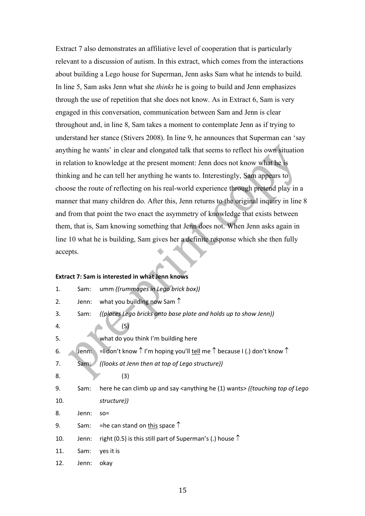Extract 7 also demonstrates an affiliative level of cooperation that is particularly relevant to a discussion of autism. In this extract, which comes from the interactions about building a Lego house for Superman, Jenn asks Sam what he intends to build. In line 5, Sam asks Jenn what she *thinks* he is going to build and Jenn emphasizes through the use of repetition that she does not know. As in Extract 6, Sam is very engaged in this conversation, communication between Sam and Jenn is clear throughout and, in line 8, Sam takes a moment to contemplate Jenn as if trying to understand her stance (Stivers 2008). In line 9, he announces that Superman can 'say anything he wants' in clear and elongated talk that seems to reflect his own situation in relation to knowledge at the present moment: Jenn does not know what he is thinking and he can tell her anything he wants to. Interestingly, Sam appears to choose the route of reflecting on his real-world experience through pretend play in a manner that many children do. After this, Jenn returns to the original inquiry in line 8 and from that point the two enact the asymmetry of knowledge that exists between them, that is, Sam knowing something that Jenn does not. When Jenn asks again in line 10 what he is building, Sam gives her a definite response which she then fully accepts.

### **Extract 7: Sam is interested in what Jenn knows**

| 1.  | Sam:  | umm ((rummages in Lego brick box))                                                                |
|-----|-------|---------------------------------------------------------------------------------------------------|
| 2.  | Jenn: | what you building now Sam $\uparrow$                                                              |
| 3.  | Sam:  | ((places Lego bricks onto base plate and holds up to show Jenn))                                  |
| 4.  |       | (5)                                                                                               |
| 5.  |       | what do you think I'm building here                                                               |
| 6.  | Jenn: | =1 don't know $\uparrow$ I'm hoping you'll tell me $\uparrow$ because I (.) don't know $\uparrow$ |
| 7.  | Sam:  | ((looks at Jenn then at top of Lego structure))                                                   |
| 8.  |       | (3)                                                                                               |
| 9.  | Sam:  | here he can climb up and say <anything (1)="" he="" wants=""> ((touching top of Lego</anything>   |
| 10. |       | structure))                                                                                       |
| 8.  | Jenn: | $SO =$                                                                                            |
| 9.  | Sam:  | =he can stand on this space $\uparrow$                                                            |
| 10. | Jenn: | right (0.5) is this still part of Superman's (.) house $\uparrow$                                 |
| 11. | Sam:  | yes it is                                                                                         |
| 12. | Jenn: | okay                                                                                              |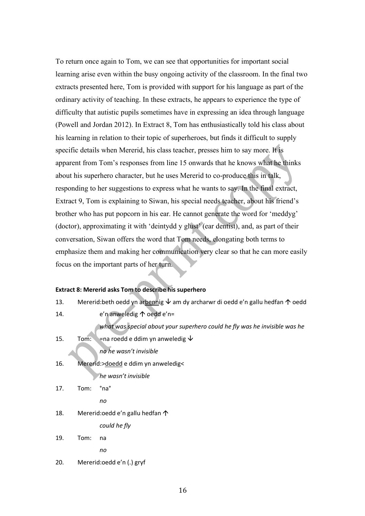To return once again to Tom, we can see that opportunities for important social learning arise even within the busy ongoing activity of the classroom. In the final two extracts presented here, Tom is provided with support for his language as part of the ordinary activity of teaching. In these extracts, he appears to experience the type of difficulty that autistic pupils sometimes have in expressing an idea through language (Powell and Jordan 2012). In Extract 8, Tom has enthusiastically told his class about his learning in relation to their topic of superheroes, but finds it difficult to supply specific details when Mererid, his class teacher, presses him to say more. It is apparent from Tom's responses from line 15 onwards that he knows what he thinks about his superhero character, but he uses Mererid to co-produce this in talk, responding to her suggestions to express what he wants to say. In the final extract, Extract 9, Tom is explaining to Siwan, his special needs teacher, about his friend's brother who has put popcorn in his ear. He cannot generate the word for 'meddyg' (doctor), approximating it with 'deintydd y glust' (ear dentist), and, as part of their conversation, Siwan offers the word that Tom needs, elongating both terms to emphasize them and making her communication very clear so that he can more easily focus on the important parts of her turn.

# **Extract 8: Mererid asks Tom to describe his superhero**

| 13. | Mererid: beth oedd yn arbennig $\vee$ am dy archarwr di oedd e'n gallu hedfan $\uparrow$ oedd |                                                                            |  |
|-----|-----------------------------------------------------------------------------------------------|----------------------------------------------------------------------------|--|
| 14. |                                                                                               | e'n anweledig $\uparrow$ oedd e'n=                                         |  |
|     |                                                                                               | what was special about your superhero could he fly was he invisible was he |  |
| 15. | Tom:                                                                                          | $=$ na roedd e ddim yn anweledig $\vee$                                    |  |
|     |                                                                                               | no he wasn't invisible                                                     |  |
| 16. |                                                                                               | Mererid:>doedd e ddim yn anweledig<                                        |  |
|     |                                                                                               | he wasn't invisible                                                        |  |
| 17. | Tom:                                                                                          | °na°                                                                       |  |
|     |                                                                                               | no                                                                         |  |
| 18. |                                                                                               | Mererid: oedd e'n gallu hedfan 个                                           |  |
|     |                                                                                               | could he fly                                                               |  |
| 19. | Tom:                                                                                          | na                                                                         |  |
|     |                                                                                               | no                                                                         |  |
| 20. |                                                                                               | Mererid:oedd e'n (.) gryf                                                  |  |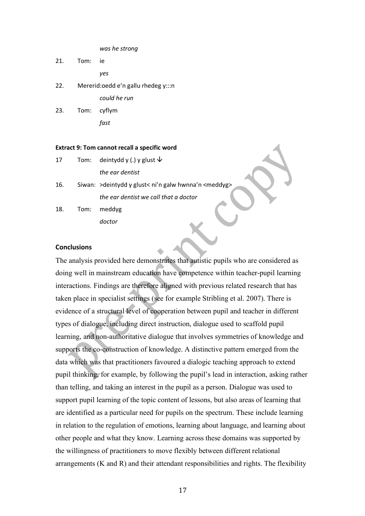*was he strong*

- 21. Tom: ie *yes* 22. Mererid:oedd e'n gallu rhedeg y:::n *could he run*
- 23. Tom: cyflym *fast*

#### **Extract 9: Tom cannot recall a specific word**

| 17  | Tom: | deintydd y (.) y glust $\bm{\downarrow}$               |  |
|-----|------|--------------------------------------------------------|--|
|     |      | the ear dentist                                        |  |
| 16. |      | Siwan: > deintydd y glust< ni'n galw hwnna'n < meddyg> |  |
|     |      | the ear dentist we call that a doctor                  |  |
| 18. | Tom: | meddyg                                                 |  |
|     |      |                                                        |  |

#### **Conclusions**

The analysis provided here demonstrates that autistic pupils who are considered as doing well in mainstream education have competence within teacher-pupil learning interactions. Findings are therefore aligned with previous related research that has taken place in specialist settings (see for example Stribling et al. 2007). There is evidence of a structural level of cooperation between pupil and teacher in different types of dialogue, including direct instruction, dialogue used to scaffold pupil learning, and non-authoritative dialogue that involves symmetries of knowledge and supports the co-construction of knowledge. A distinctive pattern emerged from the data which was that practitioners favoured a dialogic teaching approach to extend pupil thinking, for example, by following the pupil's lead in interaction, asking rather than telling, and taking an interest in the pupil as a person. Dialogue was used to support pupil learning of the topic content of lessons, but also areas of learning that are identified as a particular need for pupils on the spectrum. These include learning in relation to the regulation of emotions, learning about language, and learning about other people and what they know. Learning across these domains was supported by the willingness of practitioners to move flexibly between different relational arrangements (K and R) and their attendant responsibilities and rights. The flexibility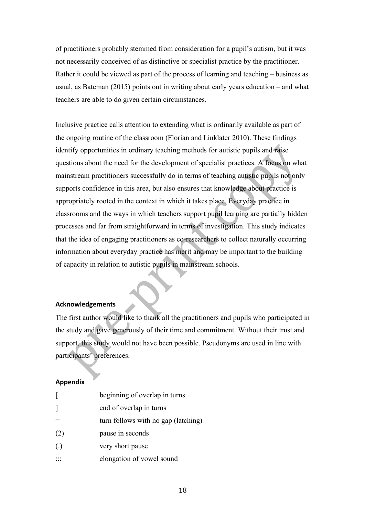of practitioners probably stemmed from consideration for a pupil's autism, but it was not necessarily conceived of as distinctive or specialist practice by the practitioner. Rather it could be viewed as part of the process of learning and teaching – business as usual, as Bateman (2015) points out in writing about early years education – and what teachers are able to do given certain circumstances.

Inclusive practice calls attention to extending what is ordinarily available as part of the ongoing routine of the classroom (Florian and Linklater 2010). These findings identify opportunities in ordinary teaching methods for autistic pupils and raise questions about the need for the development of specialist practices. A focus on what mainstream practitioners successfully do in terms of teaching autistic pupils not only supports confidence in this area, but also ensures that knowledge about practice is appropriately rooted in the context in which it takes place. Everyday practice in classrooms and the ways in which teachers support pupil learning are partially hidden processes and far from straightforward in terms of investigation. This study indicates that the idea of engaging practitioners as co-researchers to collect naturally occurring information about everyday practice has merit and may be important to the building of capacity in relation to autistic pupils in mainstream schools.

## **Acknowledgements**

The first author would like to thank all the practitioners and pupils who participated in the study and gave generously of their time and commitment. Without their trust and support, this study would not have been possible. Pseudonyms are used in line with participants' preferences.

### **Appendix**

|                   | beginning of overlap in turns       |
|-------------------|-------------------------------------|
| 1                 | end of overlap in turns             |
|                   | turn follows with no gap (latching) |
| (2)               | pause in seconds                    |
| $\left( .\right)$ | very short pause                    |
|                   | elongation of vowel sound           |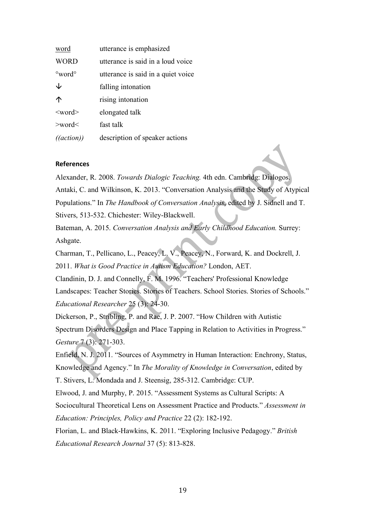| <u>word</u>              | utterance is emphasized            |
|--------------------------|------------------------------------|
| <b>WORD</b>              | utterance is said in a loud voice  |
| $\degree$ word $\degree$ | utterance is said in a quiet voice |
| $\downarrow$             | falling intonation                 |
| 个                        | rising intonation                  |
| $<$ word $>$             | elongated talk                     |
| $>$ word $<$             | fast talk                          |
| ((action))               | description of speaker actions     |

## **References**

Alexander, R. 2008. *Towards Dialogic Teaching.* 4th edn. Cambridg: Dialogos. Antaki, C. and Wilkinson, K. 2013. "Conversation Analysis and the Study of Atypical Populations." In *The Handbook of Conversation Analysis*, edited by J. Sidnell and T. Stivers, 513-532. Chichester: Wiley-Blackwell.

Bateman, A. 2015. *Conversation Analysis and Early Childhood Education.* Surrey: Ashgate.

Charman, T., Pellicano, L., Peacey, L. V., Peacey, N., Forward, K. and Dockrell, J. 2011. *What is Good Practice in Autism Education?* London, AET.

Clandinin, D. J. and Connelly, F. M. 1996. "Teachers' Professional Knowledge Landscapes: Teacher Stories. Stories of Teachers. School Stories. Stories of Schools." *Educational Researcher* 25 (3): 24-30.

Dickerson, P., Stribling, P. and Rae, J. P. 2007. "How Children with Autistic Spectrum Disorders Design and Place Tapping in Relation to Activities in Progress." *Gesture* 7 (3): 271-303.

Enfield, N. J. 2011. "Sources of Asymmetry in Human Interaction: Enchrony, Status, Knowledge and Agency." In *The Morality of Knowledge in Conversation*, edited by

T. Stivers, L. Mondada and J. Steensig, 285-312. Cambridge: CUP.

Elwood, J. and Murphy, P. 2015. "Assessment Systems as Cultural Scripts: A Sociocultural Theoretical Lens on Assessment Practice and Products." *Assessment in Education: Principles, Policy and Practice* 22 (2): 182-192.

Florian, L. and Black-Hawkins, K. 2011. "Exploring Inclusive Pedagogy." *British Educational Research Journal* 37 (5): 813-828.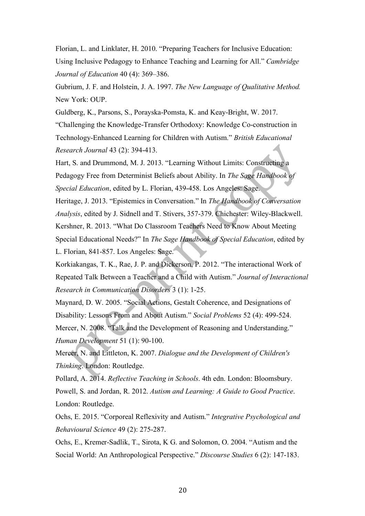Florian, L. and Linklater, H. 2010. "Preparing Teachers for Inclusive Education: Using Inclusive Pedagogy to Enhance Teaching and Learning for All." *Cambridge Journal of Education* 40 (4): 369–386.

Gubrium, J. F. and Holstein, J. A. 1997. *The New Language of Qualitative Method.* New York: OUP.

Guldberg, K., Parsons, S., Porayska-Pomsta, K. and Keay-Bright, W. 2017. "Challenging the Knowledge-Transfer Orthodoxy: Knowledge Co-construction in Technology-Enhanced Learning for Children with Autism." *British Educational Research Journal* 43 (2): 394-413.

Hart, S. and Drummond, M. J. 2013. "Learning Without Limits: Constructing a Pedagogy Free from Determinist Beliefs about Ability. In *The Sage Handbook of Special Education*, edited by L. Florian, 439-458. Los Angeles: Sage.

Heritage, J. 2013. "Epistemics in Conversation." In *The Handbook of Conversation Analysis*, edited by J. Sidnell and T. Stivers, 357-379. Chichester: Wiley-Blackwell. Kershner, R. 2013. "What Do Classroom Teachers Need to Know About Meeting Special Educational Needs?" In *The Sage Handbook of Special Education*, edited by L. Florian, 841-857. Los Angeles: Sage.

Korkiakangas, T. K., Rae, J. P. and Dickerson, P. 2012. "The interactional Work of Repeated Talk Between a Teacher and a Child with Autism." *Journal of Interactional Research in Communication Disorders* 3 (1): 1-25.

Maynard, D. W. 2005. "Social Actions, Gestalt Coherence, and Designations of Disability: Lessons From and About Autism." *Social Problems* 52 (4): 499-524. Mercer, N. 2008. "Talk and the Development of Reasoning and Understanding." *Human Development* 51 (1): 90-100.

Mercer, N. and Littleton, K. 2007. *Dialogue and the Development of Children's Thinking*. London: Routledge.

Pollard, A. 2014. *Reflective Teaching in Schools*. 4th edn. London: Bloomsbury. Powell, S. and Jordan, R. 2012. *Autism and Learning: A Guide to Good Practice*. London: Routledge.

Ochs, E. 2015. "Corporeal Reflexivity and Autism." *Integrative Psychological and Behavioural Science* 49 (2): 275-287.

Ochs, E., Kremer-Sadlik, T., Sirota, K G. and Solomon, O. 2004. "Autism and the Social World: An Anthropological Perspective." *Discourse Studies* 6 (2): 147-183.